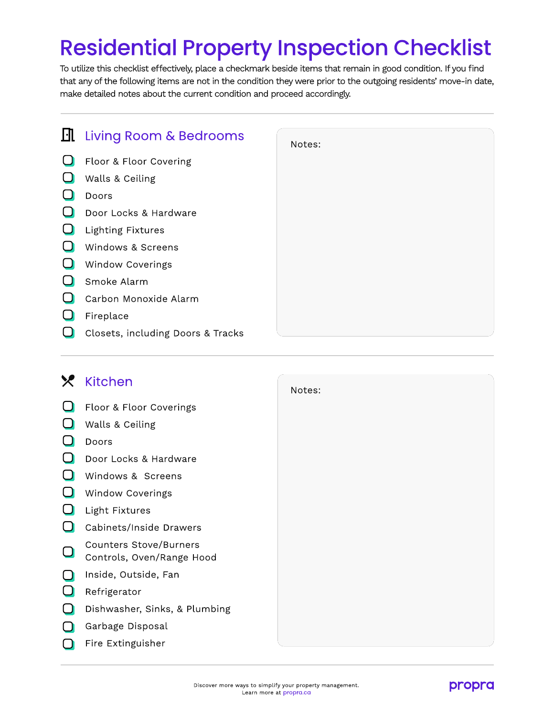## Residential Property Inspection Checklist

To utilize this checklist effectively, place a checkmark beside items that remain in good condition. If you find that any of the following items are not in the condition they were prior to the outgoing residents' move-in date, make detailed notes about the current condition and proceed accordingly.

|                                   | Notes:                           |
|-----------------------------------|----------------------------------|
| Floor & Floor Covering            |                                  |
| Walls & Ceiling                   |                                  |
| Doors                             |                                  |
| Door Locks & Hardware             |                                  |
| <b>Lighting Fixtures</b>          |                                  |
| Windows & Screens                 |                                  |
| <b>Window Coverings</b>           |                                  |
| Smoke Alarm                       |                                  |
| Carbon Monoxide Alarm             |                                  |
| Fireplace                         |                                  |
| Closets, including Doors & Tracks |                                  |
|                                   | <b>II</b> Living Room & Bedrooms |

Notes:

## **X** Kitchen

|                |                                                            | IVULTS. |
|----------------|------------------------------------------------------------|---------|
|                | Floor & Floor Coverings                                    |         |
|                | Walls & Ceiling                                            |         |
|                | Doors                                                      |         |
| $\Box$         | Door Locks & Hardware                                      |         |
|                | Windows & Screens                                          |         |
| - 1            | <b>Window Coverings</b>                                    |         |
|                | Light Fixtures                                             |         |
| $\blacksquare$ | Cabinets/Inside Drawers                                    |         |
|                | <b>Counters Stove/Burners</b><br>Controls, Oven/Range Hood |         |
|                | Inside, Outside, Fan                                       |         |
|                | Refrigerator                                               |         |
|                | Dishwasher, Sinks, & Plumbing                              |         |
|                | Garbage Disposal                                           |         |
|                | Fire Extinguisher                                          |         |